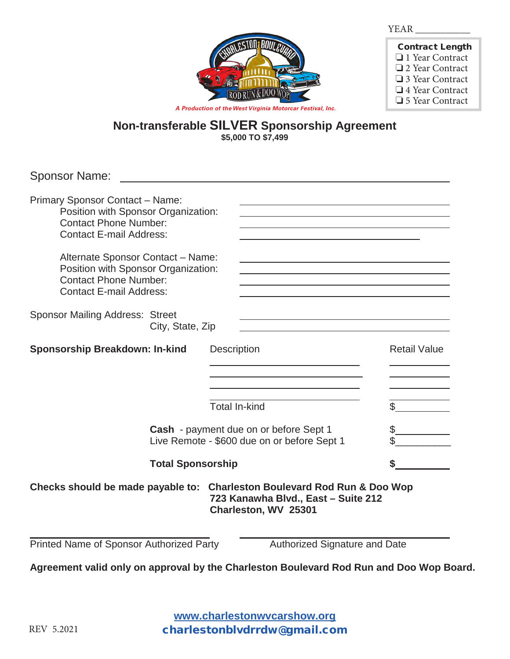YEAR \_\_\_\_\_\_\_\_\_\_\_



| <b>Contract Length</b> |
|------------------------|
| $\Box$ 1 Year Contract |
| □ 2 Year Contract      |
| □ 3 Year Contract      |
| □ 4 Year Contract      |
| □ 5 Year Contract      |

*A Production of the West Virginia Motorcar Festival, Inc.*

#### **Non-transferable SILVER Sponsorship Agreement \$5,000 TO \$7,499**

Sponsor Name:

| Primary Sponsor Contact - Name:                                                                                                            |                                                                                                                                                                                                                               |                     |
|--------------------------------------------------------------------------------------------------------------------------------------------|-------------------------------------------------------------------------------------------------------------------------------------------------------------------------------------------------------------------------------|---------------------|
| Position with Sponsor Organization:<br><b>Contact Phone Number:</b><br><b>Contact E-mail Address:</b>                                      |                                                                                                                                                                                                                               |                     |
| Alternate Sponsor Contact - Name:<br>Position with Sponsor Organization:<br><b>Contact Phone Number:</b><br><b>Contact E-mail Address:</b> | the control of the control of the control of the control of the control of the control of the control of the control of the control of the control of the control of the control of the control of the control of the control |                     |
| <b>Sponsor Mailing Address: Street</b><br>City, State, Zip                                                                                 |                                                                                                                                                                                                                               |                     |
| <b>Sponsorship Breakdown: In-kind</b>                                                                                                      | <b>Description</b>                                                                                                                                                                                                            | <b>Retail Value</b> |
|                                                                                                                                            |                                                                                                                                                                                                                               |                     |
|                                                                                                                                            | <b>Total In-kind</b>                                                                                                                                                                                                          |                     |
| Cash - payment due on or before Sept 1<br>Live Remote - \$600 due on or before Sept 1                                                      |                                                                                                                                                                                                                               |                     |
| <b>Total Sponsorship</b>                                                                                                                   |                                                                                                                                                                                                                               |                     |
| Checks should be made payable to: Charleston Boulevard Rod Run & Doo Wop                                                                   | 723 Kanawha Blvd., East - Suite 212<br>Charleston, WV 25301                                                                                                                                                                   |                     |
| Printed Name of Sponsor Authorized Party                                                                                                   | Authorized Signature and Date                                                                                                                                                                                                 |                     |
| Agreement valid only on approval by the Charleston Boulevard Rod Run and Doo Wop Board.                                                    |                                                                                                                                                                                                                               |                     |

**www.charlestonwvcarshow.org www.charlestonwvcarshow.com** charlestonblvdrrdw@gmail.com